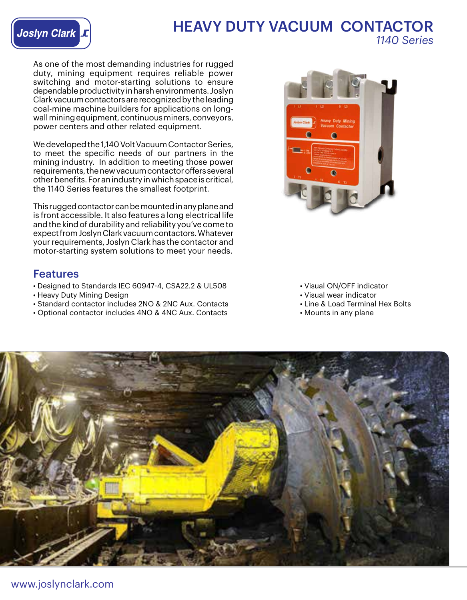## HEAVY DUTY VACUUM CONTACTOR *1140 Series*

As one of the most demanding industries for rugged duty, mining equipment requires reliable power switching and motor-starting solutions to ensure dependable productivity in harsh environments. Joslyn Clark vacuum contactors are recognized by the leading coal-mine machine builders for applications on longwall mining equipment, continuous miners, conveyors, power centers and other related equipment.

We developed the 1,140 Volt Vacuum Contactor Series, to meet the specific needs of our partners in the mining industry. In addition to meeting those power requirements, the new vacuum contactor offers several other benefits. For an industry in which space is critical, the 1140 Series features the smallest footprint.

This rugged contactor can be mounted in any plane and is front accessible. It also features a long electrical life and the kind of durability and reliability you've come to expect from Joslyn Clark vacuum contactors. Whatever your requirements, Joslyn Clark has the contactor and motor-starting system solutions to meet your needs.

## Features

Joslyn Clark <mark>II</mark>

- Designed to Standards IEC 60947-4, CSA22.2 & UL508 Visual ON/OFF indicator
- Heavy Duty Mining Design *Visual wear indicator* Visual wear indicator
- Standard contactor includes 2NO & 2NC Aux. Contacts Contactive Line & Load Terminal Hex Bolts
- Optional contactor includes 4NO & 4NC Aux. Contacts Mounts in any plane



- 
- 
-